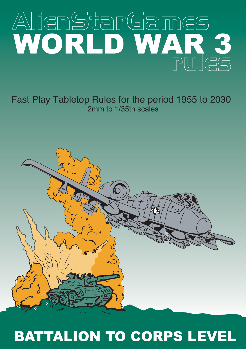

Fast Play Tabletop Rules for the period 1955 to 2030 2mm to 1/35th scales



# BATTALION TO CORPS LEVEL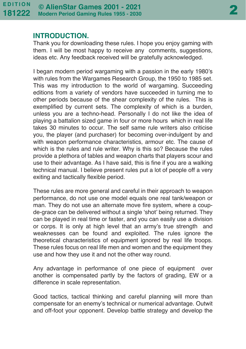#### **INTRODUCTION.**

Thank you for downloading these rules. I hope you enjoy gaming with them. I will be most happy to receive any comments, suggestions, ideas etc. Any feedback received will be gratefully acknowledged.

I began modern period wargaming with a passion in the early 1980's with rules from the Wargames Research Group, the 1950 to 1985 set. This was my introduction to the world of wargaming. Succeeding editions from a variety of vendors have succeeded in turning me to other periods because of the shear complexity of the rules. This is exemplified by current sets. The complexity of which is a burden, unless you are a techno-head. Personally I do not like the idea of playing a battalion sized game in four or more hours which in real life takes 30 minutes to occur. The self same rule writers also criticise you, the player (and purchaser) for becoming over-indulgent by and with weapon performance characteristics, armour etc. The cause of which is the rules and rule writer. Why is this so? Because the rules provide a plethora of tables and weapon charts that players scour and use to their advantage. As I have said, this is fine if you are a walking technical manual. I believe present rules put a lot of people off a very exiting and tactically flexible period.

These rules are more general and careful in their approach to weapon performance, do not use one model equals one real tank/weapon or man. They do not use an alternate move fire system, where a coupde-grace can be delivered without a single 'shot' being returned. They can be played in real time or faster, and you can easily use a division or corps. It is only at high level that an army's true strength and weaknesses can be found and exploited. The rules ignore the theoretical characteristics of equipment ignored by real life troops. These rules focus on real life men and women and the equipment they use and how they use it and not the other way round.

Any advantage in performance of one piece of equipment over another is compensated partly by the factors of grading, EW or a difference in scale representation.

Good tactics, tactical thinking and careful planning will more than compensate for an enemy's technical or numerical advantage. Outwit and off-foot your opponent. Develop battle strategy and develop the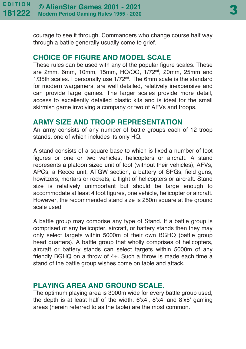3

courage to see it through. Commanders who change course half way through a battle generally usually come to grief.

#### **CHOICE OF FIGURE AND MODEL SCALE**

These rules can be used with any of the popular figure scales. These are 2mm, 6mm, 10mm, 15mm, HO/OO, 1/72nd, 20mm, 25mm and 1/35th scales. I personally use 1/72<sup>nd</sup>. The 6mm scale is the standard for modern wargamers, are well detailed, relatively inexpensive and can provide large games. The larger scales provide more detail, access to excellently detailed plastic kits and is ideal for the small skirmish game involving a company or two of AFVs and troops.

#### **ARMY SIZE AND TROOP REPRESENTATION**

An army consists of any number of battle groups each of 12 troop stands, one of which includes its only HQ.

A stand consists of a square base to which is fixed a number of foot figures or one or two vehicles, helicopters or aircraft. A stand represents a platoon sized unit of foot (without their vehicles), AFVs, APCs, a Recce unit, ATGW section, a battery of SPGs, field guns, howitzers, mortars or rockets, a flight of helicopters or aircraft. Stand size is relatively unimportant but should be large enough to accommodate at least 4 foot figures, one vehicle, helicopter or aircraft. However, the recommended stand size is 250m square at the ground scale used.

A battle group may comprise any type of Stand. If a battle group is comprised of any helicopter, aircraft, or battery stands then they may only select targets within 5000m of their own BGHQ (battle group head quarters). A battle group that wholly comprises of helicopters, aircraft or battery stands can select targets within 5000m of any friendly BGHQ on a throw of 4+. Such a throw is made each time a stand of the battle group wishes come on table and attack.

# **PLAYING AREA AND GROUND SCALE.**

The optimum playing area is 3000m wide for every battle group used, the depth is at least half of the width. 6'x4', 8'x4' and 8'x5' gaming areas (herein referred to as the table) are the most common.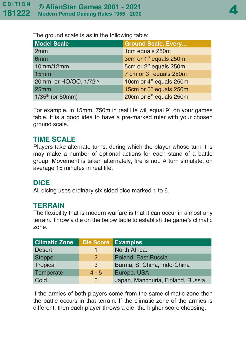The ground scale is as in the following table;

| <b>Model Scale</b>                 | <b>Ground Scale. Every</b> |
|------------------------------------|----------------------------|
| 2mm                                | 1cm equals 250m            |
| 6 <sub>mm</sub>                    | 3cm or 1" equals 250m      |
| 10mm/12mm                          | 5cm or 2" equals 250m      |
| 15 <sub>mm</sub>                   | 7 cm or 3" equals 250m     |
| 20mm, or HO/OO, 1/72 <sup>nd</sup> | 10cm or 4" equals 250m     |
| 25mm                               | 15cm or 6" equals 250m     |
| $1/35th$ (or 50mm)                 | 20cm or 8" equals 250m     |

For example, in 15mm, 750m in real life will equal 9'' on your games table. It is a good idea to have a pre-marked ruler with your chosen ground scale.

# **TIME SCALE**

Players take alternate turns, during which the player whose turn it is may make a number of optional actions for each stand of a battle group. Movement is taken alternately, fire is not. A turn simulate, on average 15 minutes in real life.

# **DICE**

All dicing uses ordinary six sided dice marked 1 to 6.

#### **TERRAIN**

The flexibility that is modern warfare is that it can occur in almost any terrain. Throw a die on the below table to establish the game's climatic zone.

| <b>Climatic Zone</b> | Die Score Examples |                                   |
|----------------------|--------------------|-----------------------------------|
| <b>Desert</b>        |                    | North Africa.                     |
| <b>Steppe</b>        | 2                  | Poland, East Russia               |
| Tropical             | $\mathbf{3}$       | Burma, S. China, Indo-China       |
| Temperate            | $4 - 5$            | Europe, USA                       |
| Cold                 | 6                  | Japan, Manchuria, Finland, Russia |

If the armies of both players come from the same climatic zone then the battle occurs in that terrain. If the climatic zone of the armies is different, then each player throws a die, the higher score choosing.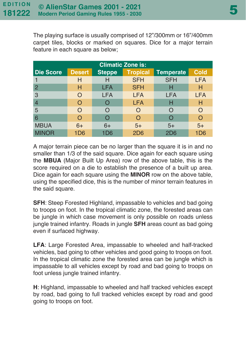The playing surface is usually comprised of 12"/300mm or 16"/400mm carpet tiles, blocks or marked on squares. Dice for a major terrain feature in each square as below;

| <b>Climatic Zone is:</b> |               |                                                              |            |            |            |  |  |  |  |  |
|--------------------------|---------------|--------------------------------------------------------------|------------|------------|------------|--|--|--|--|--|
| <b>Die Score</b>         | <b>Desert</b> | <b>Tropical</b><br><b>Cold</b><br>Temperate<br><b>Steppe</b> |            |            |            |  |  |  |  |  |
|                          | н             | H                                                            | <b>SFH</b> | <b>SFH</b> | <b>LFA</b> |  |  |  |  |  |
| $\overline{2}$           | н             | <b>LFA</b>                                                   | <b>SFH</b> | н          | н          |  |  |  |  |  |
| 3                        |               | <b>LFA</b>                                                   | <b>LFA</b> | <b>LFA</b> | <b>LFA</b> |  |  |  |  |  |
| 4                        | ∩             |                                                              | <b>LFA</b> | н          | н          |  |  |  |  |  |
| 5                        |               | $\bigcap$                                                    | O          |            | O          |  |  |  |  |  |
| 6                        | $\cap$        |                                                              | ∩          |            | ∩          |  |  |  |  |  |
| <b>MBUA</b>              | $6+$          | 6+                                                           | $5+$       | $5+$       | $5+$       |  |  |  |  |  |
| <b>MINOR</b>             | 1D6           | 1D6                                                          | 2D6        | 2D6        | 1D6        |  |  |  |  |  |

A major terrain piece can be no larger than the square it is in and no smaller than 1/3 of the said square. Dice again for each square using the **MBUA** (Major Built Up Area) row of the above table, this is the score required on a die to establish the presence of a built up area. Dice again for each square using the **MINOR** row on the above table, using the specified dice, this is the number of minor terrain features in the said square.

**SFH:** Steep Forested Highland, impassable to vehicles and bad going to troops on foot. In the tropical climatic zone, the forested areas can be jungle in which case movement is only possible on roads unless jungle trained infantry. Roads in jungle **SFH** areas count as bad going even if surfaced highway.

**LFA**: Large Forested Area, impassable to wheeled and half-tracked vehicles, bad going to other vehicles and good going to troops on foot. In the tropical climatic zone the forested area can be jungle which is impassable to all vehicles except by road and bad going to troops on foot unless jungle trained infantry.

**H**: Highland, impassable to wheeled and half tracked vehicles except by road, bad going to full tracked vehicles except by road and good going to troops on foot.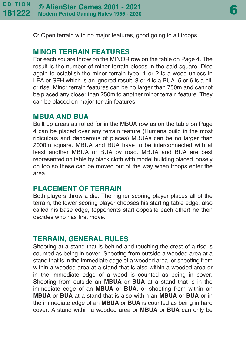**O**: Open terrain with no major features, good going to all troops.

# **MINOR TERRAIN FEATURES**

For each square throw on the MINOR row on the table on Page 4. The result is the number of minor terrain pieces in the said square. Dice again to establish the minor terrain type. 1 or 2 is a wood unless in LFA or SFH which is an ignored result. 3 or 4 is a BUA. 5 or 6 is a hill or rise. Minor terrain features can be no larger than 750m and cannot be placed any closer than 250m to another minor terrain feature. They can be placed on major terrain features.

#### **MBUA AND BUA**

Built up areas as rolled for in the MBUA row as on the table on Page 4 can be placed over any terrain feature (Humans build in the most ridiculous and dangerous of places) MBUAs can be no larger than 2000m square. MBUA and BUA have to be interconnected with at least another MBUA or BUA by road. MBUA and BUA are best represented on table by black cloth with model building placed loosely on top so these can be moved out of the way when troops enter the area.

# **PLACEMENT OF TERRAIN**

Both players throw a die. The higher scoring player places all of the terrain, the lower scoring player chooses his starting table edge, also called his base edge, (opponents start opposite each other) he then decides who has first move.

#### **TERRAIN, GENERAL RULES**

Shooting at a stand that is behind and touching the crest of a rise is counted as being in cover. Shooting from outside a wooded area at a stand that is in the immediate edge of a wooded area, or shooting from within a wooded area at a stand that is also within a wooded area or in the immediate edge of a wood is counted as being in cover. Shooting from outside an **MBUA** or **BUA** at a stand that is in the immediate edge of an **MBUA** or **BUA**, or shooting from within an **MBUA** or **BUA** at a stand that is also within an **MBUA** or **BUA** or in the immediate edge of an **MBUA** or **BUA** is counted as being in hard cover. A stand within a wooded area or **MBUA** or **BUA** can only be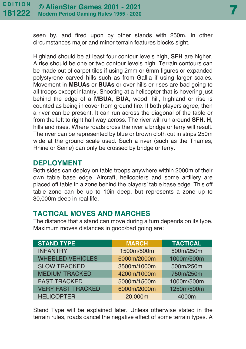7

seen by, and fired upon by other stands with 250m. In other circumstances major and minor terrain features blocks sight.

Highland should be at least four contour levels high, **SFH** are higher. A rise should be one or two contour levels high. Terrain contours can be made out of carpet tiles if using 2mm or 6mm figures or expanded polystyrene carved hills such as from Gallia if using larger scales. Movement in **MBUAs** or **BUAs** or over hills or rises are bad going to all troops except infantry. Shooting at a helicopter that is hovering just behind the edge of a **MBUA**, **BUA**, wood, hill, highland or rise is counted as being in cover from ground fire. If both players agree, then a river can be present. It can run across the diagonal of the table or from the left to right half way across. The river will run around **SFH**, **H**, hills and rises. Where roads cross the river a bridge or ferry will result. The river can be represented by blue or brown cloth cut in strips 250m wide at the ground scale used. Such a river (such as the Thames, Rhine or Seine) can only be crossed by bridge or ferry.

#### **DEPLOYMENT**

Both sides can deploy on table troops anywhere within 2000m of their own table base edge. Aircraft, helicopters and some artillery are placed off table in a zone behind the players' table base edge. This off table zone can be up to 10in deep, but represents a zone up to 30,000m deep in real life.

# **TACTICAL MOVES AND MARCHES**

The distance that a stand can move during a turn depends on its type. Maximum moves distances in good/bad going are:

| <b>STAND TYPE</b>        | <b>MARCH</b> | <b>TACTICAL</b> |
|--------------------------|--------------|-----------------|
| <b>INFANTRY</b>          | 1500m/500m   | 500m/250m       |
| <b>WHEELED VEHICLES</b>  | 6000m/2000m  | 1000m/500m      |
| <b>SLOW TRACKED</b>      | 3500m/1000m  | 500m/250m       |
| <b>MEDIUM TRACKED</b>    | 4200m/1000m  | 750m/250m       |
| <b>FAST TRACKED</b>      | 5000m/1500m  | 1000m/500m      |
| <b>VERY FAST TRACKED</b> | 6000m/2000m  | 1250m/500m      |
| <b>HELICOPTER</b>        | 20,000m      | 4000m           |

Stand Type will be explained later. Unless otherwise stated in the terrain rules, roads cancel the negative effect of some terrain types. A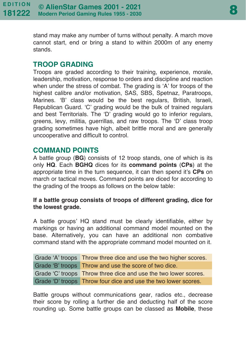stand may make any number of turns without penalty. A march move cannot start, end or bring a stand to within 2000m of any enemy stands.

# **TROOP GRADING**

Troops are graded according to their training, experience, morale, leadership, motivation, response to orders and discipline and reaction when under the stress of combat. The grading is 'A' for troops of the highest calibre and/or motivation, SAS, SBS, Spetnaz, Paratroops, Marines. 'B' class would be the best regulars, British, Israeli, Republican Guard. 'C' grading would be the bulk of trained regulars and best Territorials. The 'D' grading would go to inferior regulars, greens, levy, militia, guerrillas, and raw troops. The 'D' class troop grading sometimes have high, albeit brittle moral and are generally uncooperative and difficult to control.

#### **COMMAND POINTS**

A battle group (**BG**) consists of 12 troop stands, one of which is its only **HQ**. Each **BGHQ** dices for its **command points** (**CPs**) at the appropriate time in the turn sequence, it can then spend it's **CPs** on march or tactical moves. Command points are diced for according to the grading of the troops as follows on the below table:

#### **If a battle group consists of troops of different grading, dice for the lowest grade.**

A battle groups' HQ stand must be clearly identifiable, either by markings or having an additional command model mounted on the base. Alternatively, you can have an additional non combative command stand with the appropriate command model mounted on it.

| Grade 'A' troops Throw three dice and use the two higher scores. |
|------------------------------------------------------------------|
| Grade 'B' troops Throw and use the score of two dice.            |
| Grade 'C' troops Throw three dice and use the two lower scores.  |
| Grade 'D' troops Throw four dice and use the two lower scores.   |

Battle groups without communications gear, radios etc., decrease their score by rolling a further die and deducting half of the score rounding up. Some battle groups can be classed as **Mobile**, these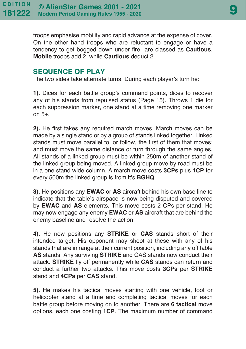troops emphasise mobility and rapid advance at the expense of cover. On the other hand troops who are reluctant to engage or have a tendency to get bogged down under fire are classed as **Cautious**. **Mobile** troops add 2, while **Cautious** deduct 2.

#### **SEQUENCE OF PLAY**

The two sides take alternate turns. During each player's turn he:

**1).** Dices for each battle group's command points, dices to recover any of his stands from repulsed status (Page 15). Throws 1 die for each suppression marker, one stand at a time removing one marker on 5+.

**2).** He first takes any required march moves. March moves can be made by a single stand or by a group of stands linked together. Linked stands must move parallel to, or follow, the first of them that moves; and must move the same distance or turn through the same angles. All stands of a linked group must be within 250m of another stand of the linked group being moved. A linked group move by road must be in a one stand wide column. A march move costs **3CPs** plus **1CP** for every 500m the linked group is from it's **BGHQ**.

**3).** He positions any **EWAC** or **AS** aircraft behind his own base line to indicate that the table's airspace is now being disputed and covered by **EWAC** and **AS** elements. This move costs 2 CPs per stand. He may now engage any enemy **EWAC** or **AS** aircraft that are behind the enemy baseline and resolve the action.

**4).** He now positions any **STRIKE** or **CAS** stands short of their intended target. His opponent may shoot at these with any of his stands that are in range at their current position, including any off table **AS** stands. Any surviving **STRIKE** and CAS stands now conduct their attack. **STRIKE** fly off permanently while **CAS** stands can return and conduct a further two attacks. This move costs **3CPs** per **STRIKE** stand and **4CPs** per **CAS** stand.

**5).** He makes his tactical moves starting with one vehicle, foot or helicopter stand at a time and completing tactical moves for each battle group before moving on to another. There are **6 tactical** move options, each one costing **1CP**. The maximum number of command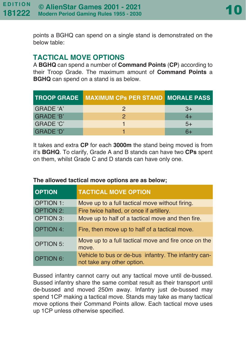points a BGHQ can spend on a single stand is demonstrated on the below table:

#### **TACTICAL MOVE OPTIONS**

A **BGHQ** can spend a number of **Command Points** (**CP**) according to their Troop Grade. The maximum amount of **Command Points** a **BGHQ** can spend on a stand is as below.

|                  | <b>TROOP GRADE MAXIMUM CPS PER STAND MORALE PASS</b> |       |
|------------------|------------------------------------------------------|-------|
| GRADE 'A'        | 2                                                    | $3+$  |
| <b>GRADE 'B'</b> | 2                                                    | 4+    |
| GRADE 'C'        |                                                      | $5+$  |
| GRADE 'D'        |                                                      | ี คื⊥ |

It takes and extra **CP** for each **3000m** the stand being moved is from it's **BGHQ**. To clarify, Grade A and B stands can have two **CPs** spent on them, whilst Grade C and D stands can have only one.

#### **The allowed tactical move options are as below;**

| <b>OPTION</b>    | <b>TACTICAL MOVE OPTION</b>                                                        |
|------------------|------------------------------------------------------------------------------------|
| <b>OPTION 1:</b> | Move up to a full tactical move without firing.                                    |
| <b>OPTION 2:</b> | Fire twice halted, or once if artillery.                                           |
| <b>OPTION 3:</b> | Move up to half of a tactical move and then fire.                                  |
| <b>OPTION 4:</b> | Fire, then move up to half of a tactical move.                                     |
| <b>OPTION 5:</b> | Move up to a full tactical move and fire once on the<br>move.                      |
| <b>OPTION 6:</b> | Vehicle to bus or de-bus infantry. The infantry can-<br>not take any other option. |

Bussed infantry cannot carry out any tactical move until de-bussed. Bussed infantry share the same combat result as their transport until de-bussed and moved 250m away. Infantry just de-bussed may spend 1CP making a tactical move. Stands may take as many tactical move options their Command Points allow. Each tactical move uses up 1CP unless otherwise specified.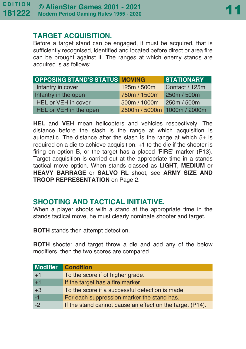#### **TARGET ACQUISITION.**

Before a target stand can be engaged, it must be acquired, that is sufficiently recognised, identified and located before direct or area fire can be brought against it. The ranges at which enemy stands are acquired is as follows:

| <b>OPPOSING STAND'S STATUS MOVING</b> |                             | <b>STATIONARY</b> |
|---------------------------------------|-----------------------------|-------------------|
| Infantry in cover                     | 125m / 500m                 | Contact / 125m    |
| Infantry in the open                  | 750m / 1500m                | 250m / 500m       |
| HEL or VEH in cover                   | 500m / 1000m                | 250m / 500m       |
| HEL or VEH in the open                | 2500m / 5000m 1000m / 2000m |                   |

**HEL** and **VEH** mean helicopters and vehicles respectively. The distance before the slash is the range at which acquisition is automatic. The distance after the slash is the range at which 5+ is required on a die to achieve acquisition. +1 to the die if the shooter is firing on option B, or the target has a placed 'FIRE' marker (P13). Target acquisition is carried out at the appropriate time in a stands tactical move option. When stands classed as **LIGHT**, **MEDIUM** or **HEAVY BARRAGE** or **SALVO RL** shoot, see **ARMY SIZE AND TROOP REPRESENTATION** on Page 2.

# **SHOOTING AND TACTICAL INITIATIVE.**

When a player shoots with a stand at the appropriate time in the stands tactical move, he must clearly nominate shooter and target.

**BOTH** stands then attempt detection.

**BOTH** shooter and target throw a die and add any of the below modifiers, then the two scores are compared.

| <b>Modifier</b> | <b>Condition</b>                                         |
|-----------------|----------------------------------------------------------|
| $+1$            | To the score if of higher grade.                         |
| $+1$            | If the target has a fire marker.                         |
| $+3$            | To the score if a successful detection is made.          |
| $-1$            | For each suppression marker the stand has.               |
| $-2$            | If the stand cannot cause an effect on the target (P14). |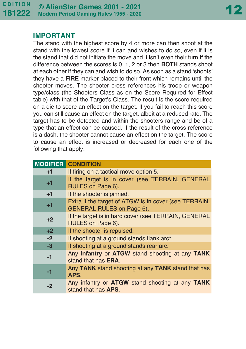#### **IMPORTANT**

The stand with the highest score by 4 or more can then shoot at the stand with the lowest score if it can and wishes to do so, even if it is the stand that did not initiate the move and it isn't even their turn If the difference between the scores is 0, 1, 2 or 3 then **BOTH** stands shoot at each other if they can and wish to do so. As soon as a stand 'shoots' they have a **FIRE** marker placed to their front which remains until the shooter moves. The shooter cross references his troop or weapon type/class (the Shooters Class as on the Score Required for Effect table) with that of the Target's Class. The result is the score required on a die to score an effect on the target. If you fail to reach this score you can still cause an effect on the target, albeit at a reduced rate. The target has to be detected and within the shooters range and be of a type that an effect can be caused. If the result of the cross reference is a dash, the shooter cannot cause an effect on the target. The score to cause an effect is increased or decreased for each one of the following that apply:

| <b>MODIFIER</b> | <b>CONDITION</b>                                                                          |  |  |  |  |  |  |
|-----------------|-------------------------------------------------------------------------------------------|--|--|--|--|--|--|
| $+1$            | If firing on a tactical move option 5.                                                    |  |  |  |  |  |  |
| $+1$            | If the target is in cover (see TERRAIN, GENERAL<br>RULES on Page 6).                      |  |  |  |  |  |  |
| $+1$            | If the shooter is pinned.                                                                 |  |  |  |  |  |  |
| $+1$            | Extra if the target of ATGW is in cover (see TERRAIN,<br><b>GENERAL RULES on Page 6).</b> |  |  |  |  |  |  |
| $+2$            | If the target is in hard cover (see TERRAIN, GENERAL<br>RULES on Page 6).                 |  |  |  |  |  |  |
| $+2$            | If the shooter is repulsed.                                                               |  |  |  |  |  |  |
| $-2$            | If shooting at a ground stands flank arc*.                                                |  |  |  |  |  |  |
| $-3$            | If shooting at a ground stands rear arc.                                                  |  |  |  |  |  |  |
| $-1$            | Any Infantry or ATGW stand shooting at any TANK<br>stand that has <b>ERA</b> .            |  |  |  |  |  |  |
| -1              | Any TANK stand shooting at any TANK stand that has<br>APS.                                |  |  |  |  |  |  |
| $-2$            | Any infantry or ATGW stand shooting at any TANK<br>stand that has <b>APS</b> .            |  |  |  |  |  |  |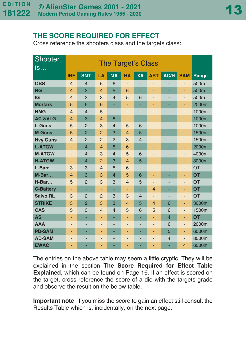# **THE SCORE REQUIRED FOR EFFECT**

Cross reference the shooters class and the targets class:

| Shooter<br>is      |                              | <b>The Target's Class</b> |                |                |                              |                |                |                |                              |           |
|--------------------|------------------------------|---------------------------|----------------|----------------|------------------------------|----------------|----------------|----------------|------------------------------|-----------|
|                    | <b>INF</b>                   | <b>SMT</b>                | LA             | <b>MA</b>      | <b>HA</b>                    | <b>XA</b>      | <b>ART</b>     | AC/H           | <b>SAM</b>                   | Range     |
| <b>OBS</b>         | $\overline{4}$               | $\overline{4}$            | 5              | 6              | $\qquad \qquad \blacksquare$ | ٠              | -              | ۰              | $\qquad \qquad \blacksquare$ | 500m      |
| <b>RG</b>          | $\overline{4}$               | 3                         | $\overline{4}$ | 5              | 6                            | ä,             | ÷              | ä,             | Ξ                            | 500m      |
| IG                 | $\overline{4}$               | 3                         | 3              | $\overline{4}$ | 5                            | 6              | -              |                | $\overline{\phantom{a}}$     | 500m      |
| <b>Mortars</b>     | 5                            | 5                         | 6              |                | ٠                            |                | ٠              | ٠              | ٠                            | 2000m     |
| <b>HMG</b>         | $\overline{4}$               | $\overline{4}$            | 5              |                | $\qquad \qquad \blacksquare$ | ٠              | ۰              |                | $\overline{\phantom{0}}$     | 1000m     |
| <b>AC &amp;VLG</b> | $\overline{4}$               | 3                         | $\overline{4}$ | 6              | ٠                            | ٠              | ٠              | ٠              | ٠                            | 1000m     |
| <b>L-Guns</b>      | 5                            | $\overline{2}$            | 3              | $\overline{4}$ | 5                            | 6              | -              |                | -                            | 1000m     |
| <b>M-Guns</b>      | 5                            | $\overline{2}$            | $\overline{2}$ | 3              | $\overline{4}$               | 5              | ۰              | ٠              | ۰                            | 1500m     |
| <b>Hvy Guns</b>    | $\overline{4}$               | $\overline{2}$            | $\overline{2}$ | $\overline{2}$ | 3                            | $\overline{4}$ | ٠              | ٠              | -                            | 1500m     |
| <b>L-ATGW</b>      | ٠                            | $\overline{4}$            | 4              | 5              | 6                            | ٠              | ۰              | ۰              | ٠                            | 2000m     |
| <b>M-ATGW</b>      | $\overline{a}$               | $\overline{4}$            | 3              | $\overline{4}$ | 5                            | 6              | -              | ٠              | ÷,                           | 4000m     |
| <b>H-ATGW</b>      | ٠                            | $\overline{4}$            | $\overline{2}$ | 3              | $\overline{4}$               | 5              | ٠              | ۰              | ٠                            | 8000m     |
| L-Barr             | 3                            | 3                         | $\overline{4}$ | 5              | 6                            | ٠              | ۰              | ٠              | ÷,                           | <b>OT</b> |
| M-Bar              | $\overline{4}$               | 3                         | 3              | $\overline{4}$ | 5                            | 6              | ٠              | ٠              | ٠                            | <b>OT</b> |
| H-Bar              | 5                            | $\overline{2}$            | 3              | 3              | $\overline{4}$               | 5              | ٠              | ٠              | ٠                            | <b>OT</b> |
| <b>C-Battery</b>   | ÷                            | ٠                         | ٠              |                | Ξ                            | ٠              | $\overline{4}$ | Ξ              | ٠                            | <b>OT</b> |
| <b>Salvo RL</b>    | 3                            | $\overline{2}$            | $\overline{2}$ | 3              | 3                            | $\overline{4}$ | -              | ٠              | $\qquad \qquad \blacksquare$ | <b>OT</b> |
| <b>STRIKE</b>      | 3                            | $\overline{2}$            | 3              | 3              | $\overline{4}$               | 5              | $\overline{4}$ | 6              | ٠                            | 3000m     |
| <b>CAS</b>         | 5                            | 3                         | $\overline{4}$ | $\overline{4}$ | 5                            | 6              | 5              | 6              | -                            | 1500m     |
| <b>AS</b>          | ٠                            | ٠                         | ٠              | ä,             | Ξ                            | ٠              | ä,             | $\overline{4}$ | ٠                            | <b>OT</b> |
| <b>AAA</b>         | ٠                            | $\overline{\phantom{a}}$  | ٠              | ٠              | ٠                            | ٠              | ۰              | 6              | ٠                            | 2000m     |
| <b>PD-SAM</b>      | ٠                            | ٠                         | ٠              | ٠              | ٠                            | ٠              | ٠              | 5              | ٠                            | 6000m     |
| <b>AD-SAM</b>      | $\qquad \qquad \blacksquare$ | ٠                         | ٠              | ٠              | ٠                            | ٠              | -              | $\overline{4}$ | $\qquad \qquad \blacksquare$ | 8000m     |
| <b>EWAC</b>        | ۰                            | ۰                         | ٠              |                | ٠                            |                | ٠              |                | $\overline{4}$               | 6000m     |

The entries on the above table may seem a little cryptic. They will be explained in the section **The Score Required for Effect Table Explained**, which can be found on Page 16. If an effect is scored on the target, cross reference the score of a die with the targets grade and observe the result on the below table.

**Important note**: If you miss the score to gain an effect still consult the Results Table which is, incidentally, on the next page.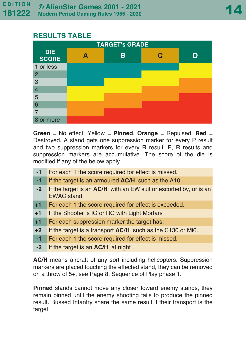# **RESULTS TABLE**

| <b>TARGET's GRADE</b>      |  |   |  |  |  |  |
|----------------------------|--|---|--|--|--|--|
| <b>DIE</b><br><b>SCORE</b> |  | В |  |  |  |  |
| 1 or less                  |  |   |  |  |  |  |
| $\overline{2}$             |  |   |  |  |  |  |
| 3                          |  |   |  |  |  |  |
| $\overline{4}$             |  |   |  |  |  |  |
| 5                          |  |   |  |  |  |  |
| 6                          |  |   |  |  |  |  |
|                            |  |   |  |  |  |  |
| 8 or more                  |  |   |  |  |  |  |

**Green** = No effect, Yellow = **Pinned**, **Orange** = Repulsed, **Red** = Destroyed. A stand gets one suppression marker for every P result and two suppression markers for every R result. P, R results and suppression markers are accumulative. The score of the die is modified if any of the below apply.

|  |  |  |  | -1 For each 1 the score required for effect is missed. |
|--|--|--|--|--------------------------------------------------------|
|--|--|--|--|--------------------------------------------------------|

- **-1** If the target is an armoured **AC/H** such as the A10.
- **-2** If the target is an **AC/H** with an EW suit or escorted by, or is an EWAC stand.
- **+1** For each 1 the score required for effect is exceeded.
- **+1** If the Shooter is IG or RG with Light Mortars
- **+1** For each suppression marker the target has.
- **+2** If the target is a transport **AC/H** such as the C130 or Mi6.
- **-1** For each 1 the score required for effect is missed.
- **-2** If the target is an **AC/H** at night .

**AC/H** means aircraft of any sort including helicopters. Suppression markers are placed touching the effected stand, they can be removed on a throw of 5+, see Page 8, Sequence of Play phase 1.

**Pinned** stands cannot move any closer toward enemy stands, they remain pinned until the enemy shooting fails to produce the pinned result. Bussed Infantry share the same result if their transport is the target.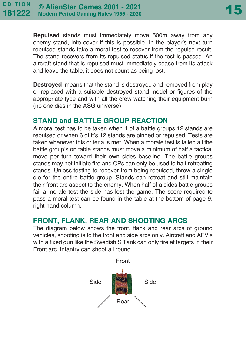**Repulsed** stands must immediately move 500m away from any enemy stand, into cover if this is possible. In the player's next turn repulsed stands take a moral test to recover from the repulse result. The stand recovers from its repulsed status if the test is passed. An aircraft stand that is repulsed must immediately cease from its attack and leave the table, it does not count as being lost.

**Destroyed** means that the stand is destroyed and removed from play or replaced with a suitable destroyed stand model or figures of the appropriate type and with all the crew watching their equipment burn (no one dies in the ASG universe).

#### **STAND and BATTLE GROUP REACTION**

A moral test has to be taken when 4 of a battle groups 12 stands are repulsed or when 6 of it's 12 stands are pinned or repulsed. Tests are taken whenever this criteria is met. When a morale test is failed all the battle group's on table stands must move a minimum of half a tactical move per turn toward their own sides baseline. The battle groups stands may not initiate fire and CPs can only be used to halt retreating stands. Unless testing to recover from being repulsed, throw a single die for the entire battle group. Stands can retreat and still maintain their front arc aspect to the enemy. When half of a sides battle groups fail a morale test the side has lost the game. The score required to pass a moral test can be found in the table at the bottom of page 9, right hand column.

#### **FRONT, FLANK, REAR AND SHOOTING ARCS**

The diagram below shows the front, flank and rear arcs of ground vehicles, shooting is to the front and side arcs only. Aircraft and AFV's with a fixed gun like the Swedish S Tank can only fire at targets in their Front arc. Infantry can shoot all round.

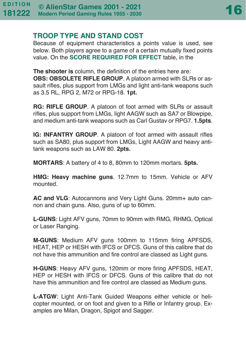#### **TROOP TYPE AND STAND COST**

Because of equipment characteristics a points value is used, see below. Both players agree to a game of a certain mutually fixed points value. On the **SCORE REQUIRED FOR EFFECT** table, in the

**The shooter is** column, the definition of the entries here are: **OBS: OBSOLETE RIFLE GROUP**. A platoon armed with SLRs or as‐ sault rifles, plus support from LMGs and light anti-tank weapons such as 3.5 RL, RPG 2, M72 or RPG-18. **1pt.**

**RG: RIFLE GROUP**. A platoon of foot armed with SLRs or assault rifles, plus support from LMGs, light AAGW such as SA7 or Blowpipe, and medium anti-tank weapons such as Carl Gustav or RPG7. **1.5pts**.

**IG: INFANTRY GROUP**. A platoon of foot armed with assault rifles such as SA80, plus support from LMGs, Light AAGW and heavy antitank weapons such as LAW 80. **2pts.**

**MORTARS**: A battery of 4 to 8, 80mm to 120mm mortars. **5pts.**

**HMG: Heavy machine guns**. 12.7mm to 15mm. Vehicle or AFV mounted.

**AC and VLG**: Autocannons and Very Light Guns. 20mm+ auto can‐ non and chain guns. Also, guns of up to 60mm.

**L-GUNS**: Light AFV guns, 70mm to 90mm with RMG, RHMG, Optical or Laser Ranging.

**M-GUNS**: Medium AFV guns 100mm to 115mm firing APFSDS, HEAT, HEP or HESH with IFCS or DFCS. Guns of this calibre that do not have this ammunition and fire control are classed as Light guns.

**H-GUNS**: Heavy AFV guns, 120mm or more firing APFSDS, HEAT, HEP or HESH with IFCS or DFCS. Guns of this calibre that do not have this ammunition and fire control are classed as Medium guns.

**L-ATGW**: Light Anti-Tank Guided Weapons either vehicle or heli‐ copter mounted, or on foot and given to a Rifle or Infantry group. Ex‐ amples are Milan, Dragon, Spigot and Sagger.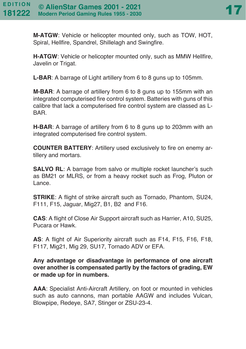**M-ATGW**: Vehicle or helicopter mounted only, such as TOW, HOT, Spiral, Hellfire, Spandrel, Shillelagh and Swingfire.

**H-ATGW**: Vehicle or helicopter mounted only, such as MMW Hellfire, Javelin or Trigat.

**L-BAR**: A barrage of Light artillery from 6 to 8 guns up to 105mm.

**M-BAR**: A barrage of artillery from 6 to 8 guns up to 155mm with an integrated computerised fire control system. Batteries with guns of this calibre that lack a computerised fire control system are classed as L-**BAR** 

**H-BAR**: A barrage of artillery from 6 to 8 guns up to 203mm with an integrated computerised fire control system.

**COUNTER BATTERY**: Artillery used exclusively to fire on enemy ar‐ tillery and mortars.

**SALVO RL:** A barrage from salvo or multiple rocket launcher's such as BM21 or MLRS, or from a heavy rocket such as Frog, Pluton or Lance.

**STRIKE:** A flight of strike aircraft such as Tornado, Phantom, SU24, F111, F15, Jaguar, Mig27, B1, B2 and F16.

**CAS**: A flight of Close Air Support aircraft such as Harrier, A10, SU25, Pucara or Hawk.

**AS**: A flight of Air Superiority aircraft such as F14, F15, F16, F18, F117, Mig21, Mig 29, SU17, Tornado ADV or EFA.

**Any advantage or disadvantage in performance of one aircraft over another is compensated partly by the factors of grading, EW or made up for in numbers.**

**AAA**: Specialist Anti-Aircraft Artillery, on foot or mounted in vehicles such as auto cannons, man portable AAGW and includes Vulcan, Blowpipe, Redeye, SA7, Stinger or ZSU-23-4.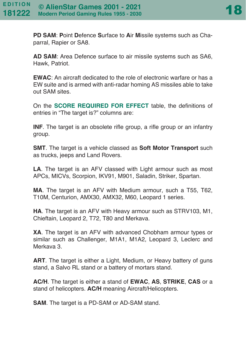**PD SAM**: **P**oint **D**efence **S**urface to **A**ir **M**issile systems such as Cha‐ parral, Rapier or SA8.

**AD SAM**: Area Defence surface to air missile systems such as SA6, Hawk, Patriot.

**EWAC**: An aircraft dedicated to the role of electronic warfare or has a EW suite and is armed with anti-radar homing AS missiles able to take out SAM sites.

On the **SCORE REQUIRED FOR EFFECT** table, the definitions of entries in "The target is?" columns are:

**INF**. The target is an obsolete rifle group, a rifle group or an infantry group.

**SMT**. The target is a vehicle classed as **Soft Motor Transport** such as trucks, jeeps and Land Rovers.

**LA.** The target is an AFV classed with Light armour such as most APCs, MICVs, Scorpion, IKV91, M901, Saladin, Striker, Spartan.

**MA**. The target is an AFV with Medium armour, such a T55, T62, T10M, Centurion, AMX30, AMX32, M60, Leopard 1 series.

**HA**. The target is an AFV with Heavy armour such as STRV103, M1, Chieftain, Leopard 2, T72, T80 and Merkava.

**XA**. The target is an AFV with advanced Chobham armour types or similar such as Challenger, M1A1, M1A2, Leopard 3, Leclerc and Merkava 3.

ART. The target is either a Light, Medium, or Heavy battery of guns stand, a Salvo RL stand or a battery of mortars stand.

**AC/H**. The target is either a stand of **EWAC**, **AS**, **STRIKE**, **CAS** or a stand of helicopters. **AC/H** meaning Aircraft/Helicopters.

**SAM.** The target is a PD-SAM or AD-SAM stand.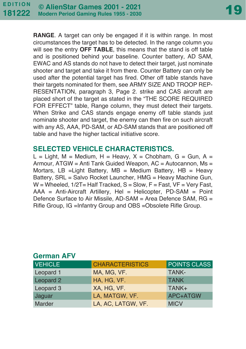**RANGE**. A target can only be engaged if it is within range. In most circumstances the target has to be detected. In the range column you will see the entry **OFF TABLE**, this means that the stand is off table and is positioned behind your baseline. Counter battery, AD SAM, EWAC and AS stands do not have to detect their target, just nominate shooter and target and take it from there. Counter Battery can only be used after the potential target has fired. Other off table stands have their targets nominated for them, see ARMY SIZE AND TROOP REP‐ RESENTATION, paragraph 3, Page 2. strike and CAS aircraft are placed short of the target as stated in the "THE SCORE REQUIRED FOR EFFECT" table, Range column, they must detect their targets. When Strike and CAS stands engage enemy off table stands just nominate shooter and target, the enemy can then fire on such aircraft with any AS, AAA, PD-SAM, or AD-SAM stands that are positioned off table and have the higher tactical initiative score.

#### **SELECTED VEHICLE CHARACTERISTICS.**

L = Light, M = Medium, H = Heavy, X = Chobham, G = Gun, A = Armour, ATGW = Anti Tank Guided Weapon, AC = Autocannon, Ms = Mortars, LB = Light Battery, MB = Medium Battery, HB = Heavy Battery, SRL = Salvo Rocket Launcher, HMG = Heavy Machine Gun,  $W =$  Wheeled, 1/2T= Half Tracked, S = Slow, F = Fast, VF = Very Fast,  $AAA = Anti-Aircraft Artillery, Hel = Helicopter, PD-SAM = Point$ Defence Surface to Air Missile, AD-SAM = Area Defence SAM, RG = Rifle Group, IG =Infantry Group and OBS =Obsolete Rifle Group.

| <b>WALLIMILAL V</b> |                        |                     |  |  |
|---------------------|------------------------|---------------------|--|--|
| <b>VEHICLE</b>      | <b>CHARACTERISTICS</b> | <b>POINTS CLASS</b> |  |  |
| Leopard 1           | MA, MG, VF.            | <b>TANK-</b>        |  |  |
| Leopard 2           | HA, HG, VF.            | <b>TANK</b>         |  |  |
| Leopard 3           | XA, HG, VF.            | TANK+               |  |  |
| Jaguar              | LA, MATGW, VF.         | APC+ATGW            |  |  |
| Marder              | LA, AC, LATGW, VF.     | <b>MICV</b>         |  |  |

#### **German AFV**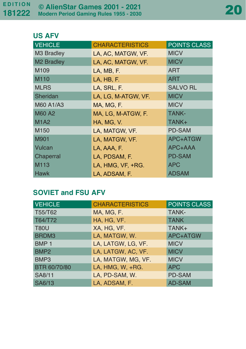# **US AFV**

| <b>VEHICLE</b>         | <b>CHARACTERISTICS</b> | <b>POINTS CLASS</b> |
|------------------------|------------------------|---------------------|
| M3 Bradley             | LA, AC, MATGW, VF.     | <b>MICV</b>         |
| M <sub>2</sub> Bradley | LA, AC, MATGW, VF.     | <b>MICV</b>         |
| M <sub>109</sub>       | LA, MB, F.             | <b>ART</b>          |
| M110                   | LA, HB, F.             | <b>ART</b>          |
| <b>MLRS</b>            | LA, SRL, F.            | <b>SALVO RL</b>     |
| Sheridan               | LA, LG, M-ATGW, VF.    | <b>MICV</b>         |
| M60 A1/A3              | MA, MG, F.             | <b>MICV</b>         |
| <b>M60 A2</b>          | MA, LG, M-ATGW, F.     | <b>TANK-</b>        |
| <b>M1A2</b>            | HA, MG, V.             | TANK+               |
| M <sub>150</sub>       | LA, MATGW, VF.         | <b>PD-SAM</b>       |
| M901                   | LA, MATGW, VF.         | APC+ATGW            |
| Vulcan                 | LA, AAA, F.            | APC+AAA             |
| Chaperral              | LA, PDSAM, F.          | <b>PD-SAM</b>       |
| M <sub>113</sub>       | LA, HMG, VF, +RG.      | <b>APC</b>          |
| <b>Hawk</b>            | LA, ADSAM, F.          | <b>ADSAM</b>        |

# **SOVIET and FSU AFV**

| <b>VEHICLE</b>   | <b>CHARACTERISTICS</b> | POINTS CLASS  |
|------------------|------------------------|---------------|
| T55/T62          | MA, MG, F.             | <b>TANK-</b>  |
| T64/T72          | HA, HG, VF.            | <b>TANK</b>   |
| <b>T80U</b>      | XA, HG, VF.            | TANK+         |
| BRDM3            | LA, MATGW, W.          | APC+ATGW      |
| BMP <sub>1</sub> | LA, LATGW, LG, VF.     | <b>MICV</b>   |
| BMP <sub>2</sub> | LA, LATGW, AC, VF.     | <b>MICV</b>   |
| BMP3             | LA, MATGW, MG, VF.     | <b>MICV</b>   |
| BTR 60/70/80     | LA, HMG, W, +RG.       | <b>APC</b>    |
| SA8/11           | LA, PD-SAM, W.         | <b>PD-SAM</b> |
| SA6/13           | LA, ADSAM, F.          | <b>AD-SAM</b> |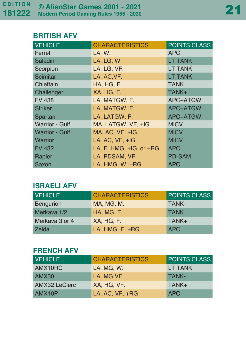# **BRITISH AFV**

| <b>VEHICLE</b>        | <b>CHARACTERISTICS</b> | <b>POINTS CLASS</b> |
|-----------------------|------------------------|---------------------|
| Ferret                | LA, W.                 | <b>APC</b>          |
| Saladin               | LA, LG, W.             | <b>LT TANK</b>      |
| Scorpion              | LA, LG, VF.            | <b>LT TANK</b>      |
| <b>Scimitar</b>       | LA, AC, VF.            | <b>LT TANK</b>      |
| Chieftain             | HA, HG, F.             | <b>TANK</b>         |
| Challenger            | XA, HG, F.             | TANK+               |
| <b>FV 438</b>         | LA, MATGW, F.          | APC+ATGW            |
| <b>Striker</b>        | LA, MATGW, F.          | APC+ATGW            |
| Spartan               | LA, LATGW, F.          | APC+ATGW            |
| <b>Warrior - Gulf</b> | MA, LATGW, VF, +IG.    | <b>MICV</b>         |
| <b>Warrior - Gulf</b> | MA, AC, VF, +IG.       | <b>MICV</b>         |
| <b>Warrior</b>        | LA, AC, VF, +IG        | <b>MICV</b>         |
| <b>FV 432</b>         | LA, F, HMG, +IG or +RG | <b>APC</b>          |
| Rapier                | LA, PDSAM, VF.         | <b>PD-SAM</b>       |
| Saxon                 | LA, HMG, W, +RG        | APC.                |

# **ISRAELI AFV**

| <b>VEHICLE</b> | <b>CHARACTERISTICS</b> | POINTS CLASS |
|----------------|------------------------|--------------|
| Bengurion      | MA, MG, M.             | <b>TANK-</b> |
| Merkava 1/2    | <b>HA, MG, F.</b>      | <b>TANK</b>  |
| Merkava 3 or 4 | <b>XA, HG, F.</b>      | TANK+        |
| Zelda          | LA, HMG, F, +RG.       | <b>APC</b>   |

# **FRENCH AFV**

| <b>VEHICLE</b>       | <b>CHARACTERISTICS</b> | <b>POINTS CLASS</b> |
|----------------------|------------------------|---------------------|
| AMX10RC              | LA, MG, W.             | <b>LT TANK</b>      |
| AMX30                | LA, MG, VF.            | <b>TANK-</b>        |
| <b>AMX32 LeClerc</b> | XA, HG, VF.            | TANK+               |
| AMX10P               | LA, AC, VF, +RG        | <b>APC</b>          |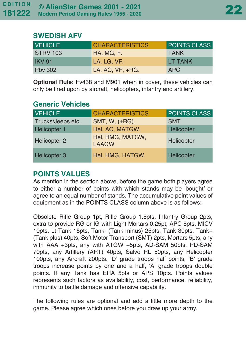#### **SWEDISH AFV**

| <b>VEHICLE</b>  | <b>CHARACTERISTICS</b> | <b>POINTS CLASS</b> |
|-----------------|------------------------|---------------------|
| <b>STRV 103</b> | HA, MG, F.             | <b>TANK</b>         |
| <b>IKV 91</b>   | LA. LG. VF.            | <b>I T TANK</b>     |
| Pby 302         | $LA, AC, VF, + RG.$    | APC                 |

**Optional Rule:** Fv438 and M901 when in cover, these vehicles can only be fired upon by aircraft, helicopters, infantry and artillery.

# **Generic Vehicles**

| <b>VEHICLE</b>      | <b>CHARACTERISTICS</b>           | <b>POINTS CLASS</b> |
|---------------------|----------------------------------|---------------------|
| Trucks/Jeeps etc.   | SMT, W, (+RG).                   | <b>SMT</b>          |
| Helicopter 1        | Hel, AC, MATGW,                  | Helicopter          |
| Helicopter 2        | Hel, HMG, MATGW,<br><b>LAAGW</b> | Helicopter          |
| <b>Helicopter 3</b> | Hel, HMG, HATGW.                 | Helicopter          |

#### **POINTS VALUES**

As mention in the section above, before the game both players agree to either a number of points with which stands may be 'bought' or agree to an equal number of stands. The accumulative point values of equipment as in the POINTS CLASS column above is as follows:

Obsolete Rifle Group 1pt, Rifle Group 1.5pts, Infantry Group 2pts, extra to provide RG or IG with Light Mortars 0.25pt, APC 5pts, MICV 10pts, Lt Tank 15pts, Tank- (Tank minus) 25pts, Tank 30pts, Tank+ (Tank plus) 40pts, Soft Motor Transport (SMT) 2pts, Mortars 5pts, any with AAA +3pts, any with ATGW +5pts, AD-SAM 50pts, PD-SAM 70pts, any Artillery (ART) 40pts, Salvo RL 50pts, any Helicopter 100pts, any Aircraft 200pts. 'D' grade troops half points, 'B' grade troops increase points by one and a half, 'A' grade troops double points. If any Tank has ERA 5pts or APS 10pts. Points values represents such factors as availability, cost, performance, reliability, immunity to battle damage and offensive capability.

The following rules are optional and add a little more depth to the game. Please agree which ones before you draw up your army.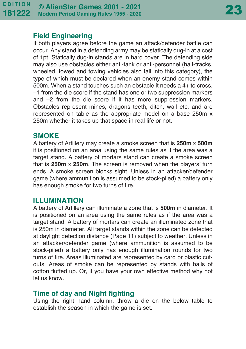#### **Field Engineering**

If both players agree before the game an attack/defender battle can occur. Any stand in a defending army may be statically dug-in at a cost of 1pt. Statically dug-in stands are in hard cover. The defending side may also use obstacles either anti-tank or anti-personnel (half-tracks, wheeled, towed and towing vehicles also fall into this category), the type of which must be declared when an enemy stand comes within 500m. When a stand touches such an obstacle it needs a 4+ to cross. –1 from the die score if the stand has one or two suppression markers and –2 from the die score if it has more suppression markers. Obstacles represent mines, dragons teeth, ditch, wall etc. and are represented on table as the appropriate model on a base 250m x 250m whether it takes up that space in real life or not.

#### **SMOKE**

A battery of Artillery may create a smoke screen that is **250m** x **500m** it is positioned on an area using the same rules as if the area was a target stand. A battery of mortars stand can create a smoke screen that is **250m** x **250m**. The screen is removed when the players' turn ends. A smoke screen blocks sight. Unless in an attacker/defender game (where ammunition is assumed to be stock-piled) a battery only has enough smoke for two turns of fire.

#### **ILLUMINATION**

A battery of Artillery can illuminate a zone that is **500m** in diameter. It is positioned on an area using the same rules as if the area was a target stand. A battery of mortars can create an illuminated zone that is 250m in diameter. All target stands within the zone can be detected at daylight detection distance (Page 11) subject to weather. Unless in an attacker/defender game (where ammunition is assumed to be stock-piled) a battery only has enough illumination rounds for two turns of fire. Areas illuminated are represented by card or plastic cutouts. Areas of smoke can be represented by stands with balls of cotton fluffed up. Or, if you have your own effective method why not let us know.

#### **Time of day and Night fighting**

Using the right hand column, throw a die on the below table to establish the season in which the game is set.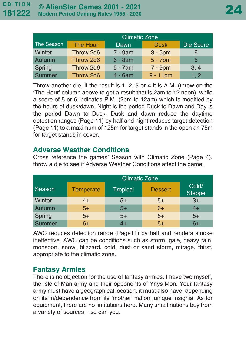|            | <b>Climatic Zone</b> |            |             |           |
|------------|----------------------|------------|-------------|-----------|
| The Season | <b>The Hour</b>      | Dawn       | <b>Dusk</b> | Die Score |
| Winter     | Throw 2d6            | 7 - 9am    | $3 - 5$ pm  | 6         |
| Autumn     | Throw 2d6            | $6 - 8am$  | $5 - 7$ pm  | 5         |
| Spring     | Throw 2d6            | $5 - 7$ am | $7 - 9$ pm  | 3, 4      |
| Summer     | Throw 2d6            | $4 - 6am$  | $9 - 11$ pm | 1, 2      |

Throw another die, if the result is 1, 2, 3 or 4 it is A.M. (throw on the 'The Hour' column above to get a result that is 2am to 12 noon) while a score of 5 or 6 indicates P.M. (2pm to 12am) which is modified by the hours of dusk/dawn. Night is the period Dusk to Dawn and Day is the period Dawn to Dusk. Dusk and dawn reduce the daytime detection ranges (Page 11) by half and night reduces target detection (Page 11) to a maximum of 125m for target stands in the open an 75m for target stands in cover.

#### **Adverse Weather Conditions**

Cross reference the games' Season with Climatic Zone (Page 4), throw a die to see if Adverse Weather Conditions affect the game.

|               | <b>Climatic Zone</b> |                 |                |                        |
|---------------|----------------------|-----------------|----------------|------------------------|
| Season        | <b>Temperate</b>     | <b>Tropical</b> | <b>Dessert</b> | Cold/<br><b>Steppe</b> |
| Winter        | 4+                   | 5+              | $5+$           | $3+$                   |
| Autumn        | $5+$                 | $5+$            | $6+$           | 4+                     |
| Spring        | $5+$                 | $5+$            | $6+$           | $5+$                   |
| <b>Summer</b> | $6+$                 |                 | $5+$           | 6+                     |

AWC reduces detection range (Page11) by half and renders smoke ineffective. AWC can be conditions such as storm, gale, heavy rain, monsoon, snow, blizzard, cold, dust or sand storm, mirage, thirst, appropriate to the climatic zone.

#### **Fantasy Armies**

There is no objection for the use of fantasy armies, I have two myself, the Isle of Man army and their opponents of Ynys Mon. Your fantasy army must have a geographical location, it must also have, depending on its in/dependence from its 'mother' nation, unique insignia. As for equipment, there are no limitations here. Many small nations buy from a variety of sources – so can you.